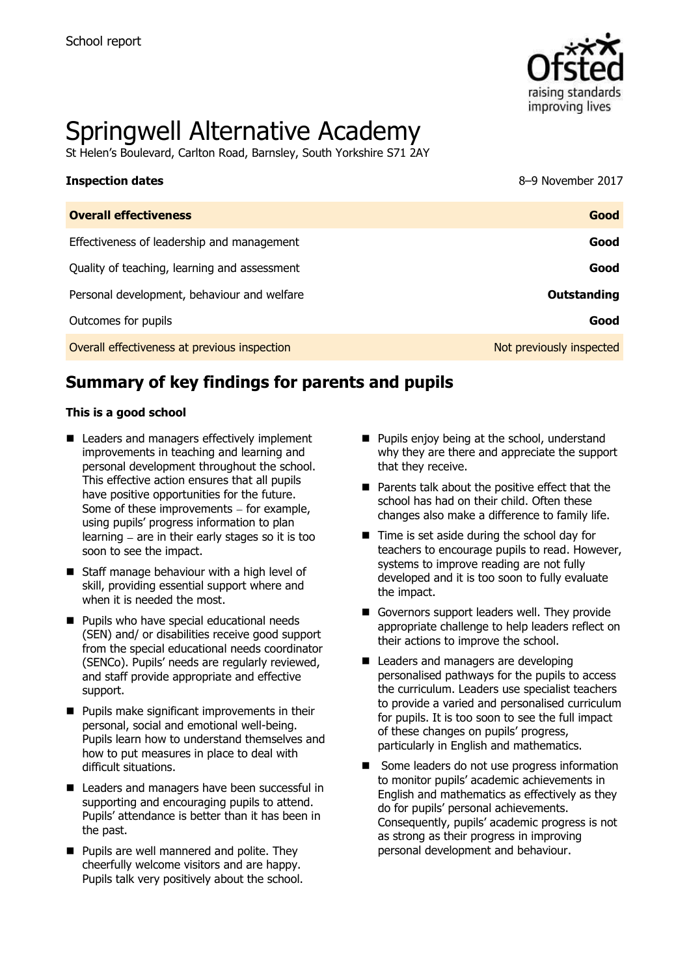

# Springwell Alternative Academy

St Helen's Boulevard, Carlton Road, Barnsley, South Yorkshire S71 2AY

| <b>Inspection dates</b>                      | 8-9 November 2017        |
|----------------------------------------------|--------------------------|
| <b>Overall effectiveness</b>                 | Good                     |
| Effectiveness of leadership and management   | Good                     |
| Quality of teaching, learning and assessment | Good                     |
| Personal development, behaviour and welfare  | <b>Outstanding</b>       |
| Outcomes for pupils                          | Good                     |
| Overall effectiveness at previous inspection | Not previously inspected |

# **Summary of key findings for parents and pupils**

#### **This is a good school**

- Leaders and managers effectively implement improvements in teaching and learning and personal development throughout the school. This effective action ensures that all pupils have positive opportunities for the future. Some of these improvements  $-$  for example, using pupils' progress information to plan learning  $-$  are in their early stages so it is too soon to see the impact.
- Staff manage behaviour with a high level of skill, providing essential support where and when it is needed the most.
- **Pupils who have special educational needs** (SEN) and/ or disabilities receive good support from the special educational needs coordinator (SENCo). Pupils' needs are regularly reviewed, and staff provide appropriate and effective support.
- $\blacksquare$  Pupils make significant improvements in their personal, social and emotional well-being. Pupils learn how to understand themselves and how to put measures in place to deal with difficult situations.
- Leaders and managers have been successful in supporting and encouraging pupils to attend. Pupils' attendance is better than it has been in the past.
- **Pupils are well mannered and polite. They** cheerfully welcome visitors and are happy. Pupils talk very positively about the school.
- **Pupils enjoy being at the school, understand** why they are there and appreciate the support that they receive.
- $\blacksquare$  Parents talk about the positive effect that the school has had on their child. Often these changes also make a difference to family life.
- $\blacksquare$  Time is set aside during the school day for teachers to encourage pupils to read. However, systems to improve reading are not fully developed and it is too soon to fully evaluate the impact.
- Governors support leaders well. They provide appropriate challenge to help leaders reflect on their actions to improve the school.
- **Leaders and managers are developing** personalised pathways for the pupils to access the curriculum. Leaders use specialist teachers to provide a varied and personalised curriculum for pupils. It is too soon to see the full impact of these changes on pupils' progress, particularly in English and mathematics.
- Some leaders do not use progress information to monitor pupils' academic achievements in English and mathematics as effectively as they do for pupils' personal achievements. Consequently, pupils' academic progress is not as strong as their progress in improving personal development and behaviour.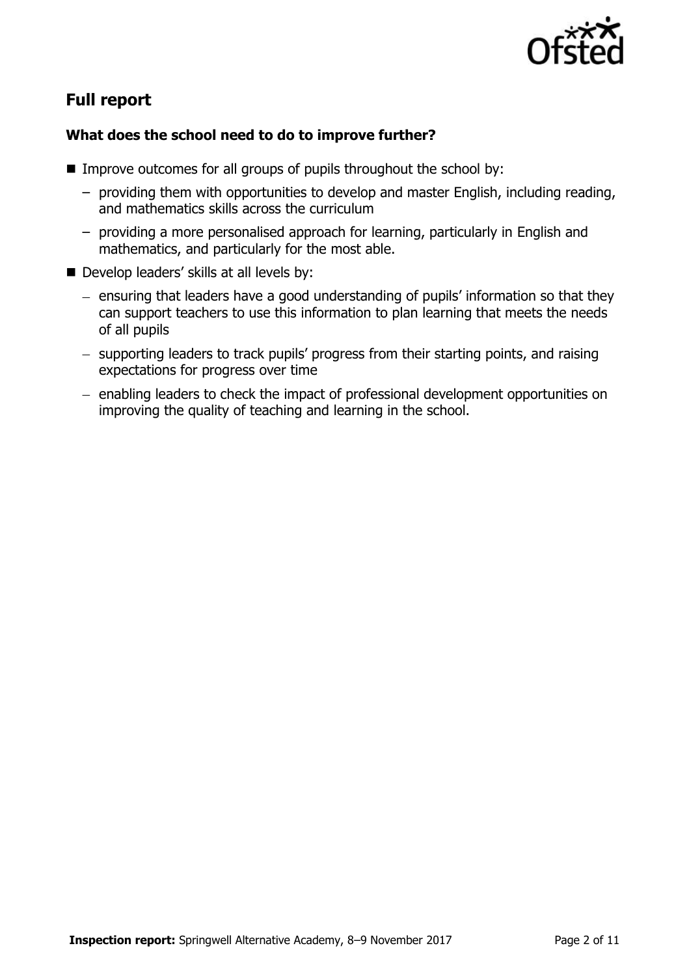

# **Full report**

## **What does the school need to do to improve further?**

- **IMPROVE OUTCOMES FOR All groups of pupils throughout the school by:** 
	- providing them with opportunities to develop and master English, including reading, and mathematics skills across the curriculum
	- providing a more personalised approach for learning, particularly in English and mathematics, and particularly for the most able.
- Develop leaders' skills at all levels by:
	- ensuring that leaders have a good understanding of pupils' information so that they can support teachers to use this information to plan learning that meets the needs of all pupils
	- supporting leaders to track pupils' progress from their starting points, and raising expectations for progress over time
	- enabling leaders to check the impact of professional development opportunities on improving the quality of teaching and learning in the school.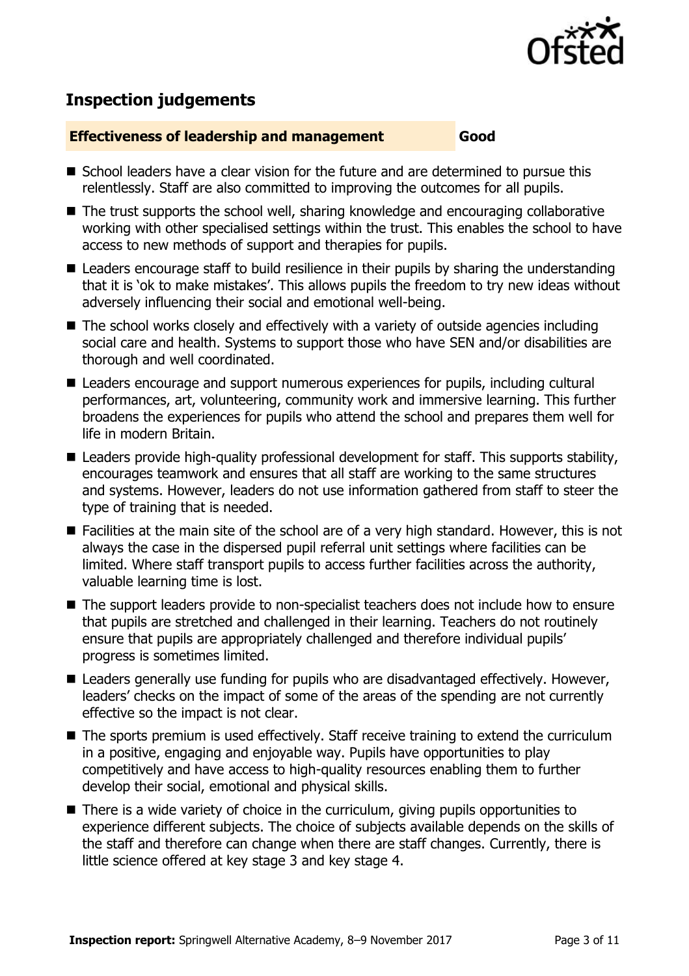

## **Inspection judgements**

#### **Effectiveness of leadership and management Good**

- School leaders have a clear vision for the future and are determined to pursue this relentlessly. Staff are also committed to improving the outcomes for all pupils.
- The trust supports the school well, sharing knowledge and encouraging collaborative working with other specialised settings within the trust. This enables the school to have access to new methods of support and therapies for pupils.
- Leaders encourage staff to build resilience in their pupils by sharing the understanding that it is 'ok to make mistakes'. This allows pupils the freedom to try new ideas without adversely influencing their social and emotional well-being.
- The school works closely and effectively with a variety of outside agencies including social care and health. Systems to support those who have SEN and/or disabilities are thorough and well coordinated.
- Leaders encourage and support numerous experiences for pupils, including cultural performances, art, volunteering, community work and immersive learning. This further broadens the experiences for pupils who attend the school and prepares them well for life in modern Britain.
- Leaders provide high-quality professional development for staff. This supports stability, encourages teamwork and ensures that all staff are working to the same structures and systems. However, leaders do not use information gathered from staff to steer the type of training that is needed.
- Facilities at the main site of the school are of a very high standard. However, this is not always the case in the dispersed pupil referral unit settings where facilities can be limited. Where staff transport pupils to access further facilities across the authority, valuable learning time is lost.
- The support leaders provide to non-specialist teachers does not include how to ensure that pupils are stretched and challenged in their learning. Teachers do not routinely ensure that pupils are appropriately challenged and therefore individual pupils' progress is sometimes limited.
- Leaders generally use funding for pupils who are disadvantaged effectively. However, leaders' checks on the impact of some of the areas of the spending are not currently effective so the impact is not clear.
- The sports premium is used effectively. Staff receive training to extend the curriculum in a positive, engaging and enjoyable way. Pupils have opportunities to play competitively and have access to high-quality resources enabling them to further develop their social, emotional and physical skills.
- There is a wide variety of choice in the curriculum, giving pupils opportunities to experience different subjects. The choice of subjects available depends on the skills of the staff and therefore can change when there are staff changes. Currently, there is little science offered at key stage 3 and key stage 4.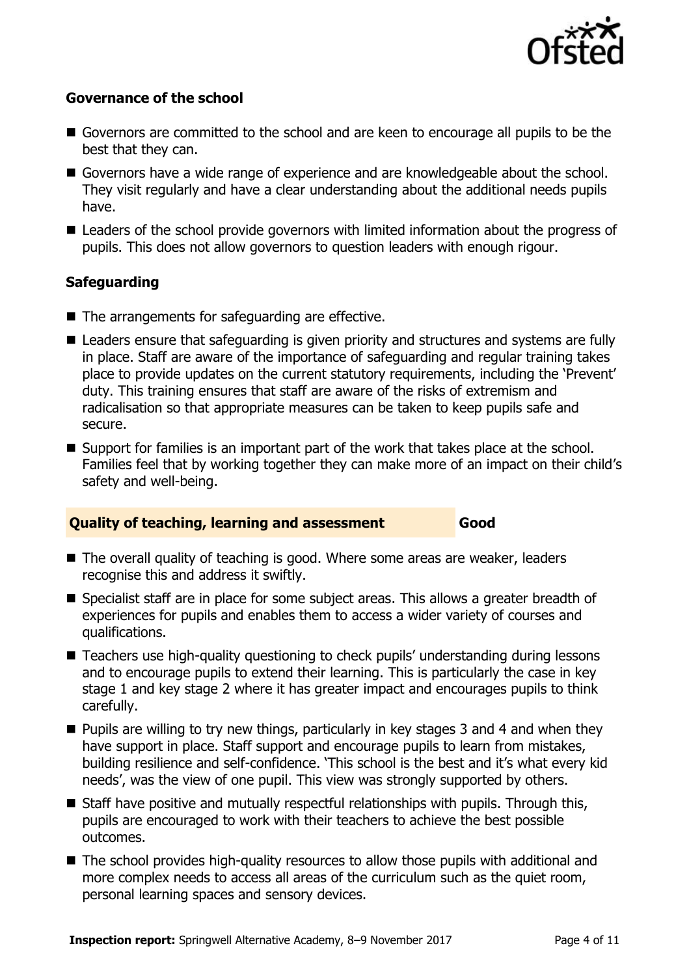

#### **Governance of the school**

- Governors are committed to the school and are keen to encourage all pupils to be the best that they can.
- Governors have a wide range of experience and are knowledgeable about the school. They visit regularly and have a clear understanding about the additional needs pupils have.
- Leaders of the school provide governors with limited information about the progress of pupils. This does not allow governors to question leaders with enough rigour.

## **Safeguarding**

- $\blacksquare$  The arrangements for safeguarding are effective.
- Leaders ensure that safeguarding is given priority and structures and systems are fully in place. Staff are aware of the importance of safeguarding and regular training takes place to provide updates on the current statutory requirements, including the 'Prevent' duty. This training ensures that staff are aware of the risks of extremism and radicalisation so that appropriate measures can be taken to keep pupils safe and secure.
- Support for families is an important part of the work that takes place at the school. Families feel that by working together they can make more of an impact on their child's safety and well-being.

#### **Quality of teaching, learning and assessment Good**

- The overall quality of teaching is good. Where some areas are weaker, leaders recognise this and address it swiftly.
- Specialist staff are in place for some subject areas. This allows a greater breadth of experiences for pupils and enables them to access a wider variety of courses and qualifications.
- Teachers use high-quality questioning to check pupils' understanding during lessons and to encourage pupils to extend their learning. This is particularly the case in key stage 1 and key stage 2 where it has greater impact and encourages pupils to think carefully.
- $\blacksquare$  Pupils are willing to try new things, particularly in key stages 3 and 4 and when they have support in place. Staff support and encourage pupils to learn from mistakes, building resilience and self-confidence. 'This school is the best and it's what every kid needs', was the view of one pupil. This view was strongly supported by others.
- $\blacksquare$  Staff have positive and mutually respectful relationships with pupils. Through this, pupils are encouraged to work with their teachers to achieve the best possible outcomes.
- The school provides high-quality resources to allow those pupils with additional and more complex needs to access all areas of the curriculum such as the quiet room, personal learning spaces and sensory devices.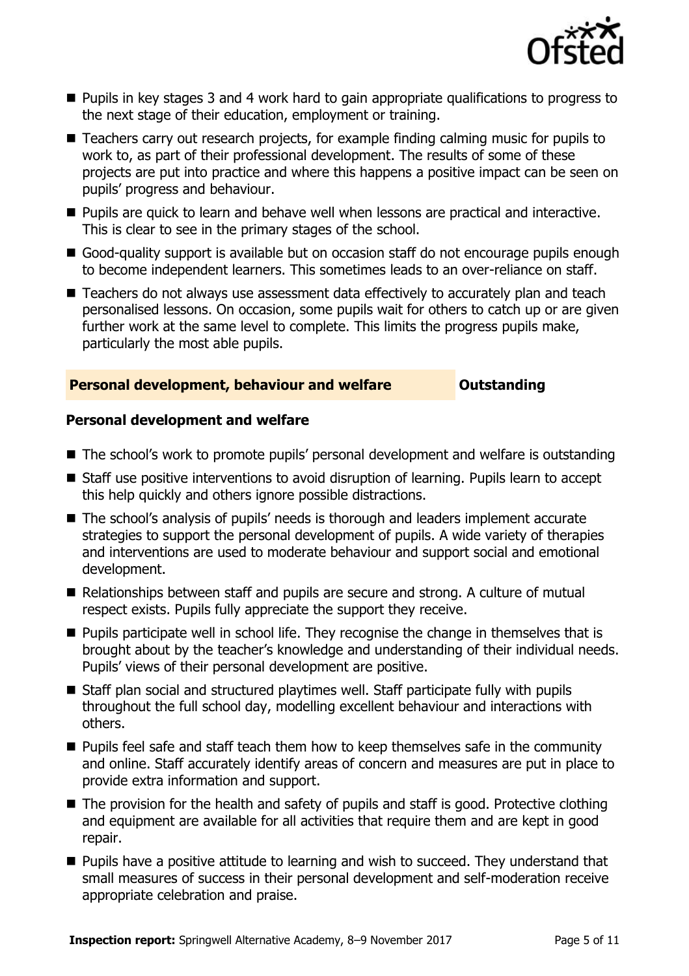

- **Pupils in key stages 3 and 4 work hard to gain appropriate qualifications to progress to** the next stage of their education, employment or training.
- Teachers carry out research projects, for example finding calming music for pupils to work to, as part of their professional development. The results of some of these projects are put into practice and where this happens a positive impact can be seen on pupils' progress and behaviour.
- **Pupils are quick to learn and behave well when lessons are practical and interactive.** This is clear to see in the primary stages of the school.
- Good-quality support is available but on occasion staff do not encourage pupils enough to become independent learners. This sometimes leads to an over-reliance on staff.
- Teachers do not always use assessment data effectively to accurately plan and teach personalised lessons. On occasion, some pupils wait for others to catch up or are given further work at the same level to complete. This limits the progress pupils make, particularly the most able pupils.

#### **Personal development, behaviour and welfare <b>COULTS** Outstanding

#### **Personal development and welfare**

- The school's work to promote pupils' personal development and welfare is outstanding
- Staff use positive interventions to avoid disruption of learning. Pupils learn to accept this help quickly and others ignore possible distractions.
- The school's analysis of pupils' needs is thorough and leaders implement accurate strategies to support the personal development of pupils. A wide variety of therapies and interventions are used to moderate behaviour and support social and emotional development.
- Relationships between staff and pupils are secure and strong. A culture of mutual respect exists. Pupils fully appreciate the support they receive.
- **Pupils participate well in school life. They recognise the change in themselves that is** brought about by the teacher's knowledge and understanding of their individual needs. Pupils' views of their personal development are positive.
- Staff plan social and structured playtimes well. Staff participate fully with pupils throughout the full school day, modelling excellent behaviour and interactions with others.
- **Pupils feel safe and staff teach them how to keep themselves safe in the community** and online. Staff accurately identify areas of concern and measures are put in place to provide extra information and support.
- $\blacksquare$  The provision for the health and safety of pupils and staff is good. Protective clothing and equipment are available for all activities that require them and are kept in good repair.
- **Pupils have a positive attitude to learning and wish to succeed. They understand that** small measures of success in their personal development and self-moderation receive appropriate celebration and praise.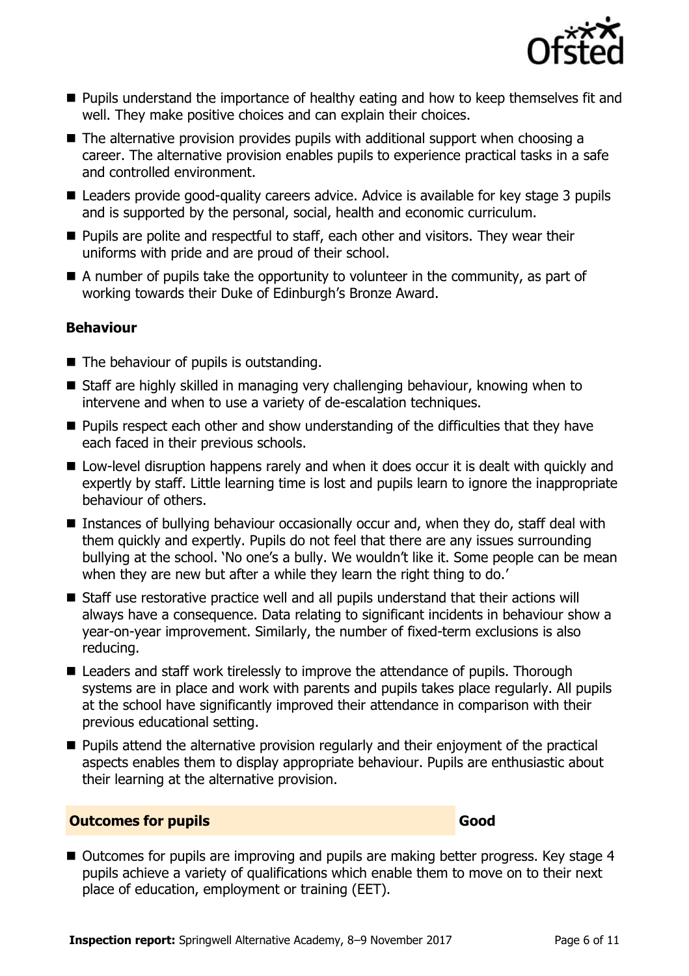

- **Pupils understand the importance of healthy eating and how to keep themselves fit and** well. They make positive choices and can explain their choices.
- The alternative provision provides pupils with additional support when choosing a career. The alternative provision enables pupils to experience practical tasks in a safe and controlled environment.
- Leaders provide good-quality careers advice. Advice is available for key stage 3 pupils and is supported by the personal, social, health and economic curriculum.
- **Pupils are polite and respectful to staff, each other and visitors. They wear their** uniforms with pride and are proud of their school.
- A number of pupils take the opportunity to volunteer in the community, as part of working towards their Duke of Edinburgh's Bronze Award.

## **Behaviour**

- $\blacksquare$  The behaviour of pupils is outstanding.
- Staff are highly skilled in managing very challenging behaviour, knowing when to intervene and when to use a variety of de-escalation techniques.
- **Pupils respect each other and show understanding of the difficulties that they have** each faced in their previous schools.
- Low-level disruption happens rarely and when it does occur it is dealt with quickly and expertly by staff. Little learning time is lost and pupils learn to ignore the inappropriate behaviour of others.
- Instances of bullying behaviour occasionally occur and, when they do, staff deal with them quickly and expertly. Pupils do not feel that there are any issues surrounding bullying at the school. 'No one's a bully. We wouldn't like it. Some people can be mean when they are new but after a while they learn the right thing to do.'
- Staff use restorative practice well and all pupils understand that their actions will always have a consequence. Data relating to significant incidents in behaviour show a year-on-year improvement. Similarly, the number of fixed-term exclusions is also reducing.
- Leaders and staff work tirelessly to improve the attendance of pupils. Thorough systems are in place and work with parents and pupils takes place regularly. All pupils at the school have significantly improved their attendance in comparison with their previous educational setting.
- **Pupils attend the alternative provision regularly and their enjoyment of the practical** aspects enables them to display appropriate behaviour. Pupils are enthusiastic about their learning at the alternative provision.

#### **Outcomes for pupils Good**

■ Outcomes for pupils are improving and pupils are making better progress. Key stage 4 pupils achieve a variety of qualifications which enable them to move on to their next place of education, employment or training (EET).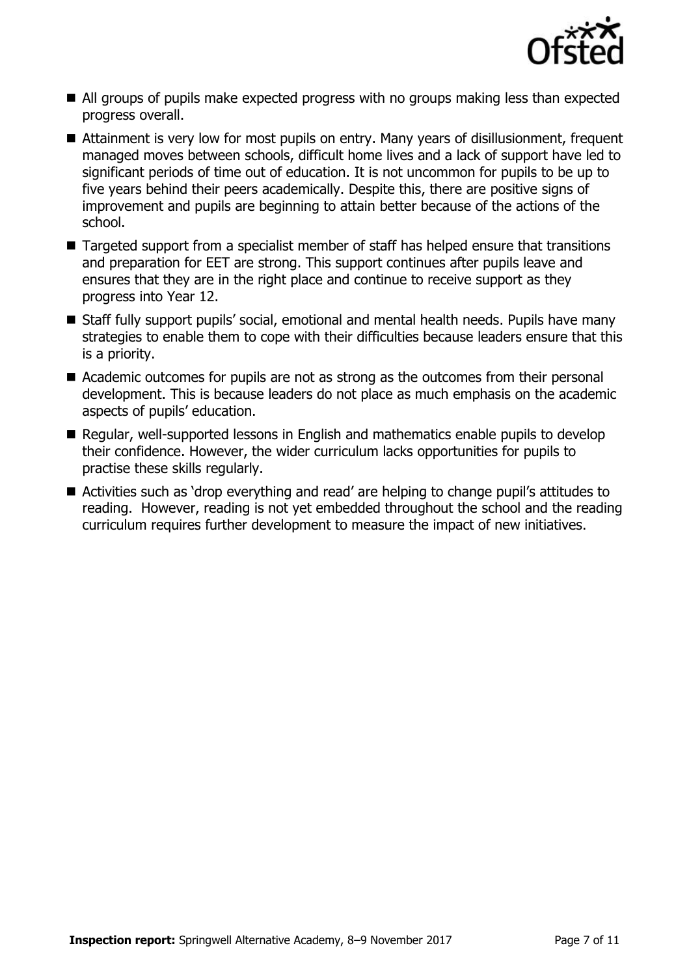

- All groups of pupils make expected progress with no groups making less than expected progress overall.
- Attainment is very low for most pupils on entry. Many years of disillusionment, frequent managed moves between schools, difficult home lives and a lack of support have led to significant periods of time out of education. It is not uncommon for pupils to be up to five years behind their peers academically. Despite this, there are positive signs of improvement and pupils are beginning to attain better because of the actions of the school.
- Targeted support from a specialist member of staff has helped ensure that transitions and preparation for EET are strong. This support continues after pupils leave and ensures that they are in the right place and continue to receive support as they progress into Year 12.
- Staff fully support pupils' social, emotional and mental health needs. Pupils have many strategies to enable them to cope with their difficulties because leaders ensure that this is a priority.
- Academic outcomes for pupils are not as strong as the outcomes from their personal development. This is because leaders do not place as much emphasis on the academic aspects of pupils' education.
- Regular, well-supported lessons in English and mathematics enable pupils to develop their confidence. However, the wider curriculum lacks opportunities for pupils to practise these skills regularly.
- Activities such as 'drop everything and read' are helping to change pupil's attitudes to reading. However, reading is not yet embedded throughout the school and the reading curriculum requires further development to measure the impact of new initiatives.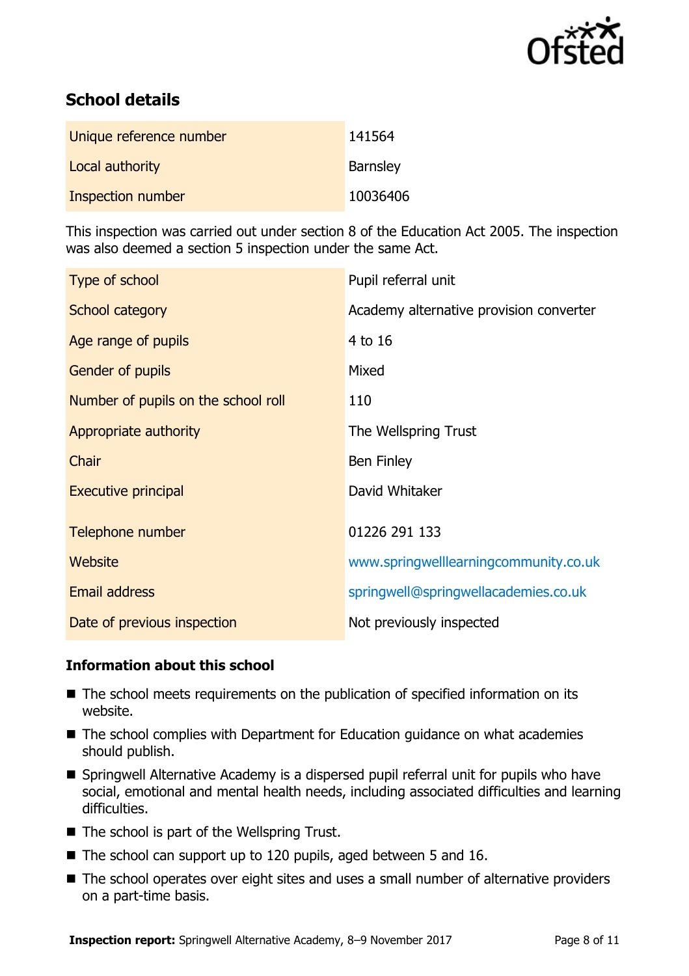

# **School details**

| Unique reference number | 141564          |
|-------------------------|-----------------|
| Local authority         | <b>Barnsley</b> |
| Inspection number       | 10036406        |

This inspection was carried out under section 8 of the Education Act 2005. The inspection was also deemed a section 5 inspection under the same Act.

| Type of school                      | Pupil referral unit                     |
|-------------------------------------|-----------------------------------------|
| School category                     | Academy alternative provision converter |
| Age range of pupils                 | 4 to 16                                 |
| Gender of pupils                    | Mixed                                   |
| Number of pupils on the school roll | 110                                     |
| Appropriate authority               | The Wellspring Trust                    |
| Chair                               | <b>Ben Finley</b>                       |
| <b>Executive principal</b>          | David Whitaker                          |
| Telephone number                    | 01226 291 133                           |
| Website                             | www.springwelllearningcommunity.co.uk   |
| <b>Email address</b>                | springwell@springwellacademies.co.uk    |
| Date of previous inspection         | Not previously inspected                |

## **Information about this school**

- The school meets requirements on the publication of specified information on its website.
- The school complies with Department for Education guidance on what academies should publish.
- Springwell Alternative Academy is a dispersed pupil referral unit for pupils who have social, emotional and mental health needs, including associated difficulties and learning difficulties.
- $\blacksquare$  The school is part of the Wellspring Trust.
- The school can support up to 120 pupils, aged between 5 and 16.
- The school operates over eight sites and uses a small number of alternative providers on a part-time basis.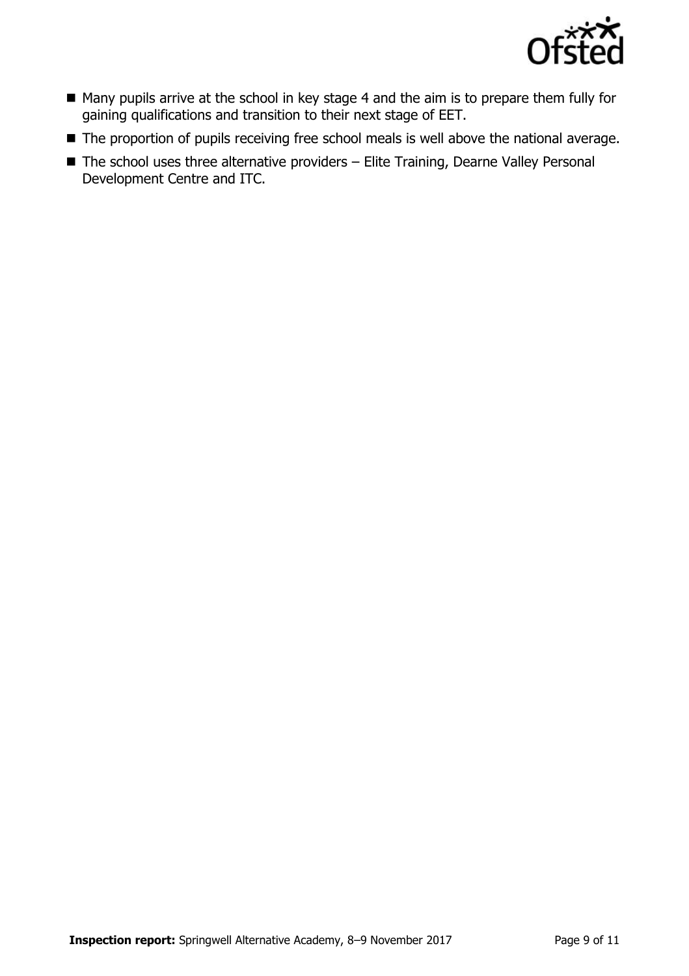

- Many pupils arrive at the school in key stage 4 and the aim is to prepare them fully for gaining qualifications and transition to their next stage of EET.
- The proportion of pupils receiving free school meals is well above the national average.
- $\blacksquare$  The school uses three alternative providers Elite Training, Dearne Valley Personal Development Centre and ITC.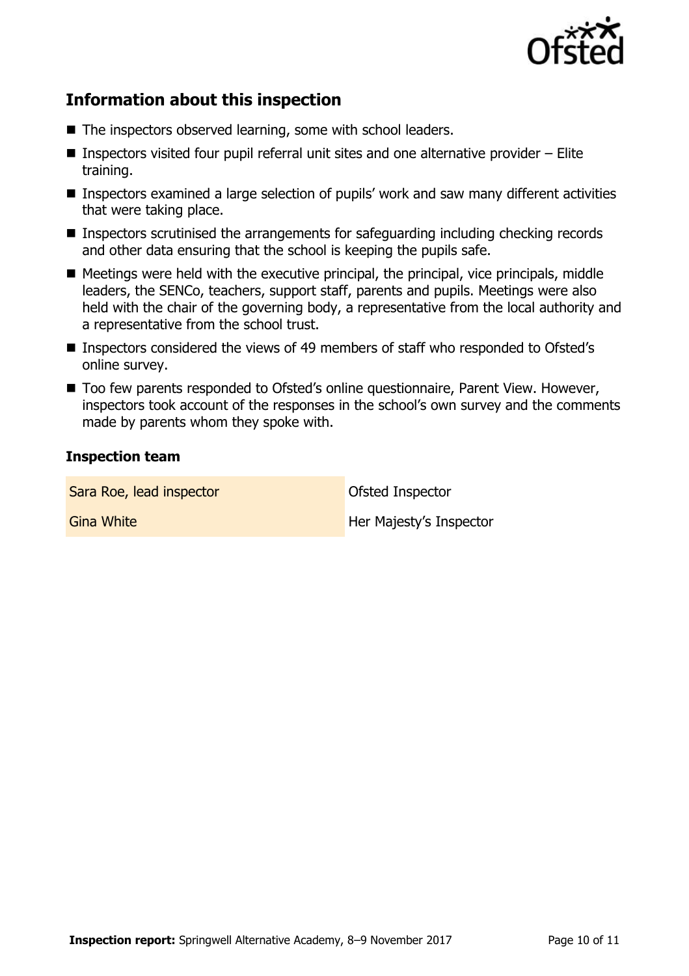

## **Information about this inspection**

- The inspectors observed learning, some with school leaders.
- **Inspectors visited four pupil referral unit sites and one alternative provider Elite** training.
- Inspectors examined a large selection of pupils' work and saw many different activities that were taking place.
- Inspectors scrutinised the arrangements for safeguarding including checking records and other data ensuring that the school is keeping the pupils safe.
- $\blacksquare$  Meetings were held with the executive principal, the principal, vice principals, middle leaders, the SENCo, teachers, support staff, parents and pupils. Meetings were also held with the chair of the governing body, a representative from the local authority and a representative from the school trust.
- Inspectors considered the views of 49 members of staff who responded to Ofsted's online survey.
- Too few parents responded to Ofsted's online questionnaire, Parent View. However, inspectors took account of the responses in the school's own survey and the comments made by parents whom they spoke with.

#### **Inspection team**

| Sara Roe, lead inspector | <b>Ofsted Inspector</b> |
|--------------------------|-------------------------|
| <b>Gina White</b>        | Her Majesty's Inspector |